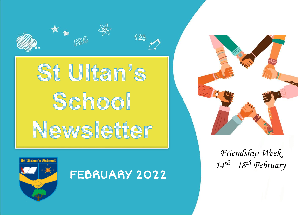





*Friendship Week 14th - 18th February*



FEBRUARY 2022

123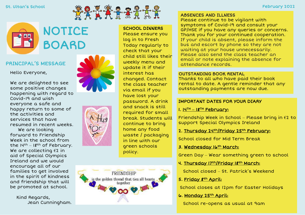#### St. Ultan's School February 2022



# NOTICE **BOARD**

#### PRINCIPAL'S MESSAGE

Hello Everyone,

We are delighted to see some positive changes happening with regard to Covid-19 and wish everyone a safe and happy return to some of the activities and services that have resumed in recent weeks. We are looking forward to Friendship Week in the school from the  $14^{th} - 18^{th}$  of February. We are collecting €2 in aid of Special Olympics Ireland and we would encourage all of our families to get involved in the spirit of kindness and friendship that will be promoted at school.

Kind Regards, Jean Cunningham.







# SCHOOL DINNERS

Please ensure you log in to Fresh Today regularly to check that your child still likes their weekly menu and update it if their interest has changed. Contact the class teacher via email if you have lost your password. A drink and snack is still required for small break. Students will continue to bring home any food waste / packaging in line with our green schools policy.

#### ABSENCES AND ILLNESS

Please continue to be vigilant with symptoms of Covid-19 and consult your GP/HSE if you have any queries or concerns. Thank you for your continued cooperation. If your child is absent, please inform the bus and escort by phone so they are not waiting at your house unnecessarily. Please also send the class teacher an email or note explaining the absence for attendance records.

#### OUTSTANDING BOOK RENTAL

Thanks to all who have paid their book rental to date. A gentle reminder that any outstanding payments are now due.

#### IMPORTANT DATES FOR YOUR DIARY

#### 1. 14TH **–** 18TH February:

Friendship Week in School – Please bring in  $62$  to support Special Olympics Ireland

#### 2. Thursday 24th/Friday 25th February:

School closed for Mid Term Break

#### 3. Wednesday 16th March:

Green Day – Wear something green to school

#### 4. Thursday 17th/Friday 18th March:

School closed – St. Patrick's Weekend

5. Friday 8th April:

School closes at 12pm for Easter Holidays

6. Monday 25th April:

School re-opens as usual at 9am